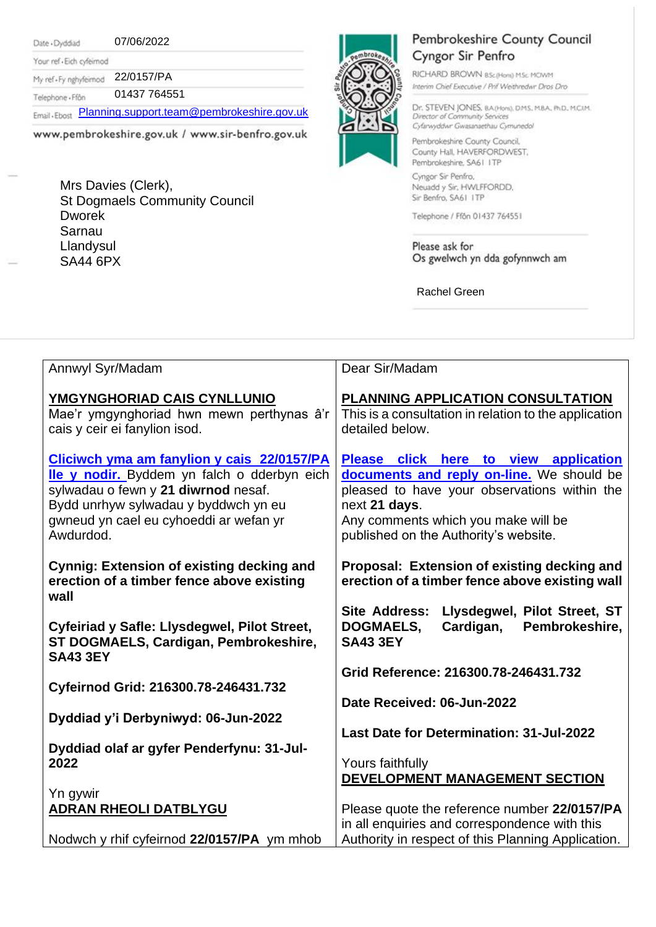Date - Dyddiad

07/06/2022

Your ref - Eich cyfeirnod My ref-Fy nghyfeirnod 22/0157/PA

01437 764551 Telephone - Ffôn

Email . Ebost [Planning.support.team@pembrokeshire.gov.uk](mailto:Planning.support.team@pembrokeshire.gov.uk)

www.pembrokeshire.gov.uk / www.sir-benfro.gov.uk

Mrs Davies (Clerk), St Dogmaels Community Council Dworek Sarnau Llandysul SA44 6PX



## Pembrokeshire County Council Cyngor Sir Penfro

RICHARD BROWN BSc(Hons) MSc MCIWM Interim Chief Executive / Prif Weithredwr Dros Dro

Dr. STEVEN JONES, BA(Hons), DMS, MBA, PhD, MCJM. Director of Community Services Cyfarwyddwr Gwasanaethau Cymunedol

Pembrokeshire County Council, County Hall, HAVERFORDWEST, Pembrokeshire, SA61 ITP Cyngor Sir Penfro,

Neuadd y Sir, HWLFFORDD, Sir Benfro, SA61 ITP

Telephone / Ffon 01437 764551

Please ask for Os gwelwch yn dda gofynnwch am

Rachel Green

| Annwyl Syr/Madam                                                                                                                                                                                                                | Dear Sir/Madam                                                                                                                                                                                                                      |
|---------------------------------------------------------------------------------------------------------------------------------------------------------------------------------------------------------------------------------|-------------------------------------------------------------------------------------------------------------------------------------------------------------------------------------------------------------------------------------|
| YMGYNGHORIAD CAIS CYNLLUNIO<br>Mae'r ymgynghoriad hwn mewn perthynas â'r<br>cais y ceir ei fanylion isod.                                                                                                                       | PLANNING APPLICATION CONSULTATION<br>This is a consultation in relation to the application<br>detailed below.                                                                                                                       |
| Cliciwch yma am fanylion y cais 22/0157/PA<br>lle y nodir. Byddem yn falch o dderbyn eich<br>sylwadau o fewn y 21 diwrnod nesaf.<br>Bydd unrhyw sylwadau y byddwch yn eu<br>gwneud yn cael eu cyhoeddi ar wefan yr<br>Awdurdod. | Please click here to view application<br>documents and reply on-line. We should be<br>pleased to have your observations within the<br>next 21 days.<br>Any comments which you make will be<br>published on the Authority's website. |
| <b>Cynnig: Extension of existing decking and</b><br>erection of a timber fence above existing<br>wall                                                                                                                           | Proposal: Extension of existing decking and<br>erection of a timber fence above existing wall                                                                                                                                       |
| Cyfeiriad y Safle: Llysdegwel, Pilot Street,<br>ST DOGMAELS, Cardigan, Pembrokeshire,<br><b>SA43 3EY</b>                                                                                                                        | <b>Site Address:</b><br>Llysdegwel, Pilot Street, ST<br>Pembrokeshire,<br><b>DOGMAELS,</b><br>Cardigan,<br><b>SA43 3EY</b>                                                                                                          |
| Cyfeirnod Grid: 216300.78-246431.732                                                                                                                                                                                            | Grid Reference: 216300.78-246431.732                                                                                                                                                                                                |
|                                                                                                                                                                                                                                 | Date Received: 06-Jun-2022                                                                                                                                                                                                          |
| Dyddiad y'i Derbyniwyd: 06-Jun-2022                                                                                                                                                                                             | Last Date for Determination: 31-Jul-2022                                                                                                                                                                                            |
| Dyddiad olaf ar gyfer Penderfynu: 31-Jul-<br>2022                                                                                                                                                                               | Yours faithfully<br>DEVELOPMENT MANAGEMENT SECTION                                                                                                                                                                                  |
| Yn gywir<br><b>ADRAN RHEOLI DATBLYGU</b>                                                                                                                                                                                        | Please quote the reference number 22/0157/PA<br>in all enquiries and correspondence with this                                                                                                                                       |
| Nodwch y rhif cyfeirnod 22/0157/PA ym mhob                                                                                                                                                                                      | Authority in respect of this Planning Application.                                                                                                                                                                                  |